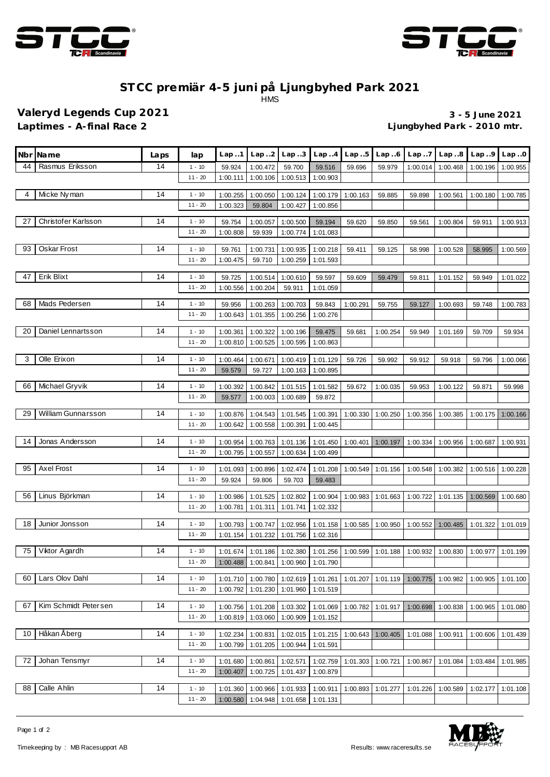



## **ST CC premiär 4-5 juni på Ljungbyhed Park 2021** HMS

**Valeryd Legends Cup 2021 3 - 5 June 2021 Laptimes - A-final Race 2 Ljungbyhed Park - 2010 mtr.**

|    | Nbr Name                  | Laps | lap                   | Lap1                 | Lap. .2              | Lap.3                | Lap.4                | Lap5     | Lap.6                                                                            | Lap.7    | Lap.8    | Lap.9    | Lap.0    |
|----|---------------------------|------|-----------------------|----------------------|----------------------|----------------------|----------------------|----------|----------------------------------------------------------------------------------|----------|----------|----------|----------|
| 44 | Rasmus Eriksson           | 14   | $1 - 10$              | 59.924               | 1:00.472             | 59.700               | 59.516               | 59.696   | 59.979                                                                           | 1:00.014 | 1:00.468 | 1:00.196 | 1:00.955 |
|    |                           |      | $11 - 20$             | 1:00.111             | 1:00.106             | 1:00.513             | 1:00.903             |          |                                                                                  |          |          |          |          |
| 4  | Micke Nyman               | 14   | $1 - 10$              | 1:00.255             | 1:00.050             | 1:00.124             | 1:00.179             | 1:00.163 | 59.885                                                                           | 59.898   | 1:00.561 | 1:00.180 | 1:00.785 |
|    |                           |      | $11 - 20$             | 1:00.323             | 59.804               | 1:00.427             | 1:00.856             |          |                                                                                  |          |          |          |          |
|    |                           |      |                       |                      |                      |                      |                      |          |                                                                                  |          |          |          |          |
| 27 | Christofer Karlsson       | 14   | $1 - 10$<br>$11 - 20$ | 59.754<br>1:00.808   | 1:00.057<br>59.939   | 1:00.500<br>1:00.774 | 59.194<br>1:01.083   | 59.620   | 59.850                                                                           | 59.561   | 1:00.804 | 59.911   | 1:00.913 |
|    |                           |      |                       |                      |                      |                      |                      |          |                                                                                  |          |          |          |          |
| 93 | Oskar Frost               | 14   | $1 - 10$              | 59.761               | 1:00.731             | 1:00.935             | 1:00.218             | 59.411   | 59.125                                                                           | 58.998   | 1:00.528 | 58.995   | 1:00.569 |
|    |                           |      | $11 - 20$             | 1:00.475             | 59.710               | 1:00.259             | 1:01.593             |          |                                                                                  |          |          |          |          |
| 47 | Erik Blixt                | 14   | $1 - 10$              | 59.725               | 1:00.514             | 1:00.610             | 59.597               | 59.609   | 59.479                                                                           | 59.811   | 1:01.152 | 59.949   | 1:01.022 |
|    |                           |      | $11 - 20$             | 1:00.556             | 1:00.204             | 59.911               | 1:01.059             |          |                                                                                  |          |          |          |          |
| 68 | Mads Pedersen             | 14   | $1 - 10$              | 59.956               | 1:00.263             | 1:00.703             | 59.843               | 1:00.291 | 59.755                                                                           | 59.127   | 1:00.693 | 59.748   | 1:00.783 |
|    |                           |      | $11 - 20$             | 1:00.643             | 1:01.355             | 1:00.256             | 1:00.276             |          |                                                                                  |          |          |          |          |
| 20 |                           | 14   |                       |                      |                      |                      |                      |          |                                                                                  |          |          |          |          |
|    | Daniel Lennartsson        |      | $1 - 10$<br>$11 - 20$ | 1:00.361<br>1:00.810 | 1:00.322<br>1:00.525 | 1:00.196<br>1:00.595 | 59.475<br>1:00.863   | 59.681   | 1:00.254                                                                         | 59.949   | 1:01.169 | 59.709   | 59.934   |
|    |                           |      |                       |                      |                      |                      |                      |          |                                                                                  |          |          |          |          |
| 3  | Olle Erixon               | 14   | $1 - 10$              | 1:00.464             | 1:00.671             | 1:00.419             | 1:01.129             | 59.726   | 59.992                                                                           | 59.912   | 59.918   | 59.796   | 1:00.066 |
|    |                           |      | $11 - 20$             | 59.579               | 59.727               | 1:00.163             | 1:00.895             |          |                                                                                  |          |          |          |          |
| 66 | Michael Gryvik            | 14   | $1 - 10$              | 1:00.392             | 1:00.842             | 1:01.515             | 1:01.582             | 59.672   | 1:00.035                                                                         | 59.953   | 1:00.122 | 59.871   | 59.998   |
|    |                           |      | $11 - 20$             | 59.577               | 1:00.003             | 1:00.689             | 59.872               |          |                                                                                  |          |          |          |          |
| 29 | <b>William Gunnarsson</b> | 14   | $1 - 10$              | 1:00.876             | 1:04.543             | 1:01.545             | 1:00.391             | 1:00.330 | 1:00.250                                                                         | 1:00.356 | 1:00.385 | 1:00.175 | 1:00.166 |
|    |                           |      | $11 - 20$             | 1:00.642             | 1:00.558             | 1:00.391             | 1:00.445             |          |                                                                                  |          |          |          |          |
|    |                           |      |                       |                      |                      |                      |                      |          |                                                                                  |          |          |          |          |
| 14 | Jonas Andersson           | 14   | $1 - 10$<br>$11 - 20$ | 1:00.954<br>1:00.795 | 1:00.763<br>1:00.557 | 1:01.136<br>1:00.634 | 1:01.450<br>1:00.499 | 1:00.401 | 1:00.197                                                                         | 1:00.334 | 1:00.956 | 1:00.687 | 1:00.931 |
|    |                           |      |                       |                      |                      |                      |                      |          |                                                                                  |          |          |          |          |
| 95 | Axel Frost                | 14   | $1 - 10$              | 1:01.093             | 1:00.896             | 1:02.474             | 1:01.208             | 1:00.549 | 1:01.156                                                                         | 1:00.548 | 1:00.382 | 1:00.516 | 1:00.228 |
|    |                           |      | $11 - 20$             | 59.924               | 59.806               | 59.703               | 59.483               |          |                                                                                  |          |          |          |          |
| 56 | Linus Björkman            | 14   | $1 - 10$              | 1:00.986             | 1:01.525             | 1:02.802             | 1:00.904             | 1:00.983 | 1:01.663                                                                         | 1:00.722 | 1:01.135 | 1:00.569 | 1:00.680 |
|    |                           |      | $11 - 20$             | 1:00.781             | 1:01.311             | 1:01.741             | 1:02.332             |          |                                                                                  |          |          |          |          |
| 18 | Junior Jonsson            | 14   | $1 - 10$              | 1:00.793             | 1:00.747             | 1:02.956             | 1:01.158             | 1:00.585 | 1:00.950                                                                         | 1:00.552 | 1:00.485 | 1:01.322 | 1:01.019 |
|    |                           |      | $11 - 20$             | 1:01.154             | 1:01.232             | 1:01.756             | 1:02.316             |          |                                                                                  |          |          |          |          |
|    | 75 Viktor Agardh          | 14   | $1 - 10$              |                      |                      |                      |                      |          | 1:01.186 1:02.380 1:01.256 1:00.599 1:01.188 1:00.932 1:00.830 1:00.977 1:01.199 |          |          |          |          |
|    |                           |      | $11 - 20$             | 1:00.488             | 1:00.841             | 1:00.960             | 1:01.790             |          |                                                                                  |          |          |          |          |
|    |                           |      |                       |                      |                      |                      |                      |          |                                                                                  |          |          |          |          |
| 60 | Lars Olov Dahl            | 14   | $1 - 10$<br>$11 - 20$ | 1:01.710<br>1:00.792 | 1:00.780<br>1:01.230 | 1:02.619             | 1:01.261<br>1:01.519 | 1:01.207 | 1:01.119                                                                         | 1:00.775 | 1:00.982 | 1:00.905 | 1:01.100 |
|    |                           |      |                       |                      |                      | 1:01.960             |                      |          |                                                                                  |          |          |          |          |
| 67 | Kim Schmidt Petersen      | 14   | $1 - 10$              | 1:00.756             | 1:01.208             | 1:03.302             | 1:01.069             | 1:00.782 | 1:01.917                                                                         | 1:00.698 | 1:00.838 | 1:00.965 | 1:01.080 |
|    |                           |      | $11 - 20$             | 1:00.819             | 1:03.060             | 1:00.909             | 1:01.152             |          |                                                                                  |          |          |          |          |
| 10 | Håkan Åberg               | 14   | $1 - 10$              | 1:02.234             | 1:00.831             | 1:02.015             | 1:01.215             | 1:00.643 | 1:00.405                                                                         | 1:01.088 | 1:00.911 | 1:00.606 | 1:01.439 |
|    |                           |      | $11 - 20$             | 1:00.799             | 1:01.205             | 1:00.944             | 1:01.591             |          |                                                                                  |          |          |          |          |
| 72 | Johan Tensmyr             | 14   | $1 - 10$              | 1:01.680             | 1:00.861             | 1:02.571             | 1:02.759             | 1:01.303 | 1:00.721                                                                         | 1:00.867 | 1:01.084 | 1:03.484 | 1:01.985 |
|    |                           |      | $11 - 20$             | 1:00.407             | 1:00.725             | 1:01.437             | 1:00.879             |          |                                                                                  |          |          |          |          |
|    |                           |      |                       |                      |                      |                      |                      |          |                                                                                  |          |          |          |          |
| 88 | Calle Ahlin               | 14   | $1 - 10$<br>$11 - 20$ | 1:01.360<br>1:00.580 | 1:00.966<br>1:04.948 | 1:01.933<br>1:01.658 | 1:00.911<br>1:01.131 | 1:00.893 | 1:01.277                                                                         | 1:01.226 | 1:00.589 | 1:02.177 | 1:01.108 |
|    |                           |      |                       |                      |                      |                      |                      |          |                                                                                  |          |          |          |          |